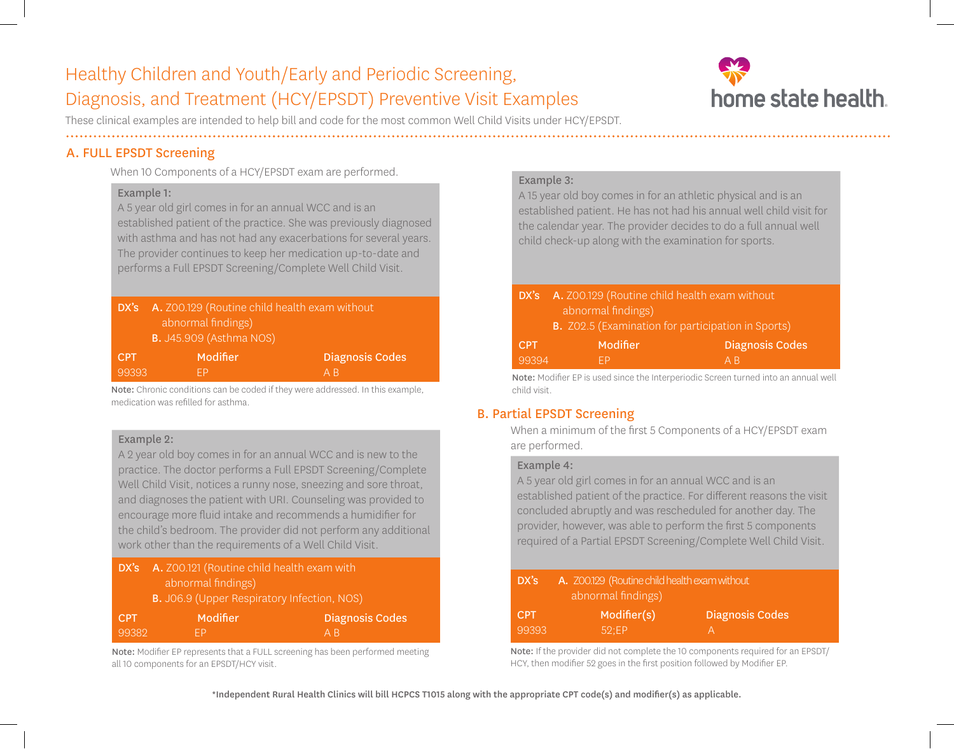# Healthy Children and Youth/Early and Periodic Screening, Diagnosis, and Treatment (HCY/EPSDT) Preventive Visit Examples



These clinical examples are intended to help bill and code for the most common Well Child Visits under HCY/EPSDT.

# A. FULL EPSDT Screening

When 10 Components of a HCY/EPSDT exam are performed.

### Example 1:

A 5 year old girl comes in for an annual WCC and is an established patient of the practice. She was previously diagnosed with asthma and has not had any exacerbations for several years. The provider continues to keep her medication up-to-date and performs a Full EPSDT Screening/Complete Well Child Visit.

|            | <b>DX's</b> A. Z00.129 (Routine child health exam without<br>abnormal findings)<br><b>B.</b> J45.909 (Asthma NOS) |                        |  |
|------------|-------------------------------------------------------------------------------------------------------------------|------------------------|--|
| <b>CPT</b> | Modifier                                                                                                          | <b>Diagnosis Codes</b> |  |
| 99393      | FΡ                                                                                                                | A <sub>R</sub>         |  |

Note: Chronic conditions can be coded if they were addressed. In this example, medication was refilled for asthma.

### Example 2:

A 2 year old boy comes in for an annual WCC and is new to the practice. The doctor performs a Full EPSDT Screening/Complete Well Child Visit, notices a runny nose, sneezing and sore throat, and diagnoses the patient with URI. Counseling was provided to encourage more fluid intake and recommends a humidifier for the child's bedroom. The provider did not perform any additional work other than the requirements of a Well Child Visit.

| DX's A. Z00.121 (Routine child health exam with |                                                 |  |
|-------------------------------------------------|-------------------------------------------------|--|
| abnormal findings)                              |                                                 |  |
|                                                 | <b>D</b> IOCO (Haper Deepiratory Infection NOC) |  |

| B. J06.9 (Upper Respiratory Infection, NOS) |  |
|---------------------------------------------|--|
|                                             |  |

| <b>CPT</b> | Modifier  | <b>Diagnosis Codes</b> |
|------------|-----------|------------------------|
| 99382      | <b>FP</b> | ' A Bi                 |

Note: Modifier EP represents that a FULL screening has been performed meeting all 10 components for an EPSDT/HCY visit.

## Example 3:

A 15 year old boy comes in for an athletic physical and is an established patient. He has not had his annual well child visit for the calendar year. The provider decides to do a full annual well child check-up along with the examination for sports.

| DX's       | A. Z00.129 (Routine child health exam without<br>abnormal findings) |                        |  |
|------------|---------------------------------------------------------------------|------------------------|--|
|            | <b>B.</b> Z02.5 (Examination for participation in Sports)           |                        |  |
| <b>CPT</b> | Modifier                                                            | <b>Diagnosis Codes</b> |  |
| 99394      | ΞD                                                                  | A R                    |  |

Note: Modifier EP is used since the Interperiodic Screen turned into an annual well child visit.

# B. Partial EPSDT Screening

When a minimum of the first 5 Components of a HCY/EPSDT exam are performed.

### Example 4:

A 5 year old girl comes in for an annual WCC and is an established patient of the practice. For different reasons the visit concluded abruptly and was rescheduled for another day. The provider, however, was able to perform the first 5 components required of a Partial EPSDT Screening/Complete Well Child Visit.

| DX's '              | A. Z00.129 (Routine child health exam without<br>abnormal findings) |                        |  |
|---------------------|---------------------------------------------------------------------|------------------------|--|
| <b>CPT</b><br>99393 | Modifier(s)<br>52:EP                                                | <b>Diagnosis Codes</b> |  |

Note: If the provider did not complete the 10 components required for an EPSDT/ HCY, then modifier 52 goes in the first position followed by Modifier EP.